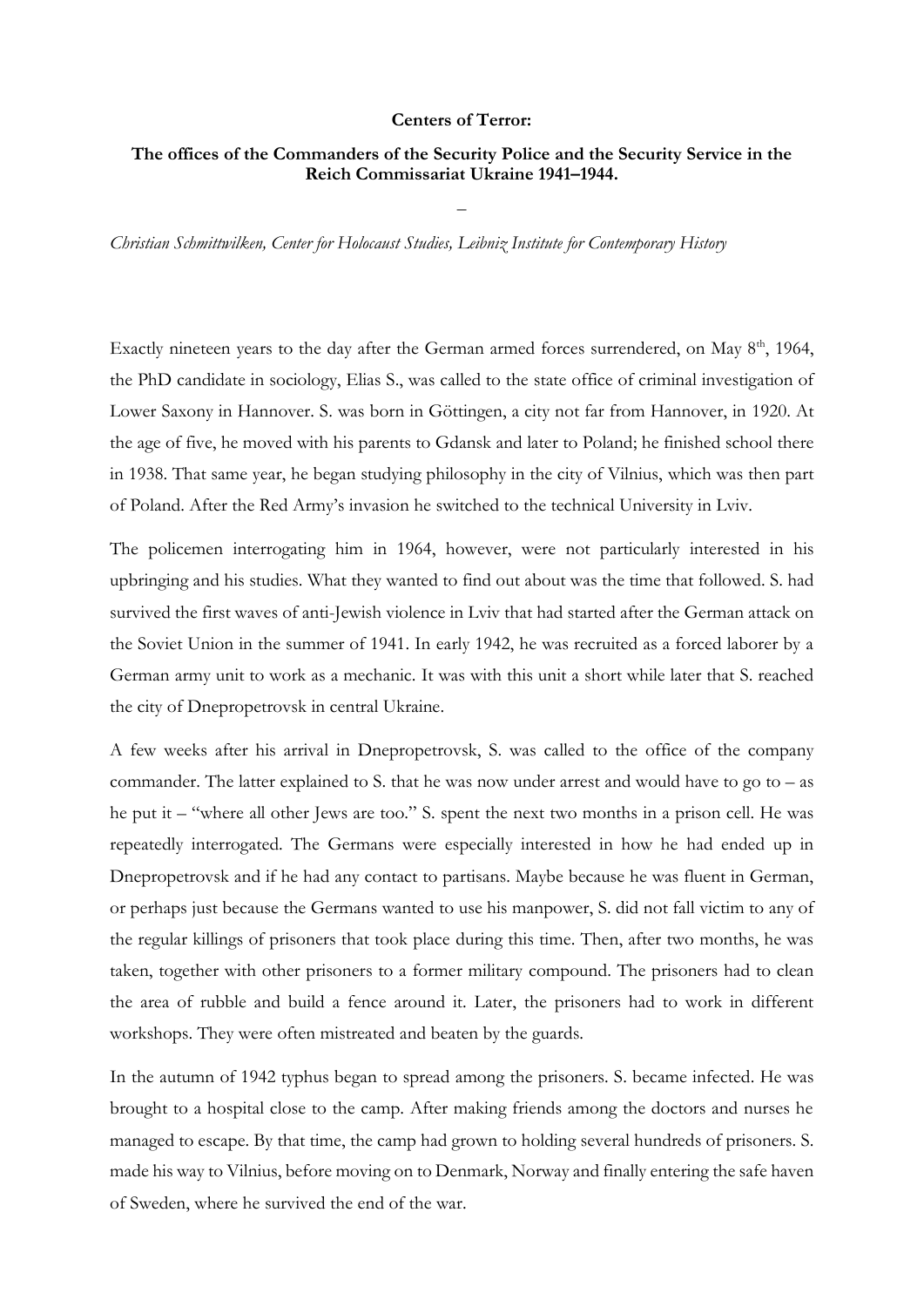## Centers of Terror:

## The offices of the Commanders of the Security Police and the Security Service in the Reich Commissariat Ukraine 1941–1944.

–

*Christian Schmittwilken, Center for Holocaust Studies, Leibniz Institute for Contemporary History*

Exactly nineteen years to the day after the German armed forces surrendered, on May 8<sup>th</sup>, 1964, the PhD candidate in sociology, Elias S., was called to the state office of criminal investigation of Lower Saxony in Hannover. S. was born in Göttingen, a city not far from Hannover, in 1920. At the age of five, he moved with his parents to Gdansk and later to Poland; he finished school there in 1938. That same year, he began studying philosophy in the city of Vilnius, which was then part of Poland. After the Red Army's invasion he switched to the technical University in Lviv.

The policemen interrogating him in 1964, however, were not particularly interested in his upbringing and his studies. What they wanted to find out about was the time that followed. S. had survived the first waves of anti-Jewish violence in Lviv that had started after the German attack on the Soviet Union in the summer of 1941. In early 1942, he was recruited as a forced laborer by a German army unit to work as a mechanic. It was with this unit a short while later that S. reached the city of Dnepropetrovsk in central Ukraine.

A few weeks after his arrival in Dnepropetrovsk, S. was called to the office of the company commander. The latter explained to S. that he was now under arrest and would have to go to  $-$  as he put it – "where all other Jews are too." S. spent the next two months in a prison cell. He was repeatedly interrogated. The Germans were especially interested in how he had ended up in Dnepropetrovsk and if he had any contact to partisans. Maybe because he was fluent in German, or perhaps just because the Germans wanted to use his manpower, S. did not fall victim to any of the regular killings of prisoners that took place during this time. Then, after two months, he was taken, together with other prisoners to a former military compound. The prisoners had to clean the area of rubble and build a fence around it. Later, the prisoners had to work in different workshops. They were often mistreated and beaten by the guards.

In the autumn of 1942 typhus began to spread among the prisoners. S. became infected. He was brought to a hospital close to the camp. After making friends among the doctors and nurses he managed to escape. By that time, the camp had grown to holding several hundreds of prisoners. S. made his way to Vilnius, before moving on to Denmark, Norway and finally entering the safe haven of Sweden, where he survived the end of the war.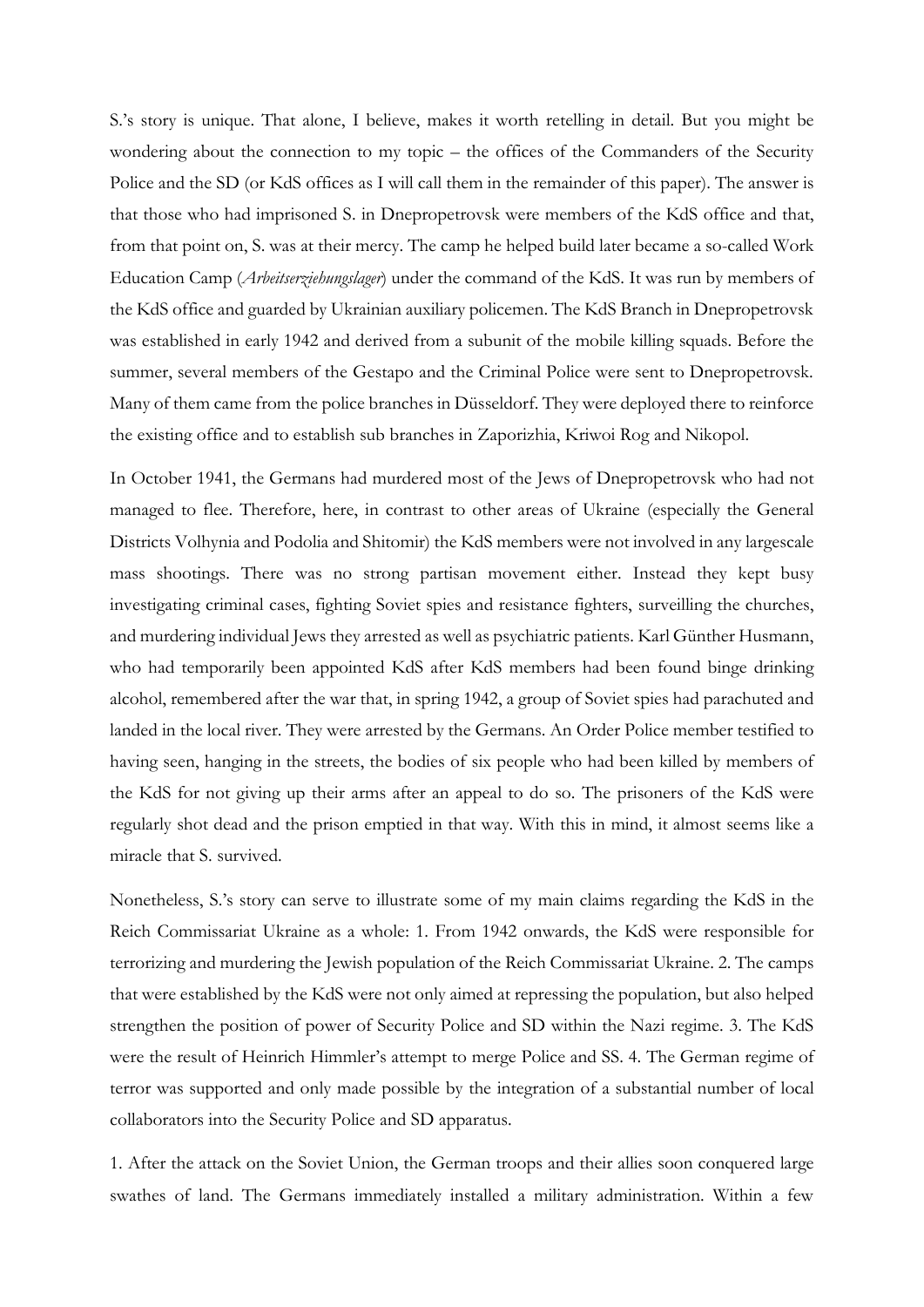S.'s story is unique. That alone, I believe, makes it worth retelling in detail. But you might be wondering about the connection to my topic – the offices of the Commanders of the Security Police and the SD (or KdS offices as I will call them in the remainder of this paper). The answer is that those who had imprisoned S. in Dnepropetrovsk were members of the KdS office and that, from that point on, S. was at their mercy. The camp he helped build later became a so-called Work Education Camp (*Arbeitserziehungslager*) under the command of the KdS. It was run by members of the KdS office and guarded by Ukrainian auxiliary policemen. The KdS Branch in Dnepropetrovsk was established in early 1942 and derived from a subunit of the mobile killing squads. Before the summer, several members of the Gestapo and the Criminal Police were sent to Dnepropetrovsk. Many of them came from the police branches in Düsseldorf. They were deployed there to reinforce the existing office and to establish sub branches in Zaporizhia, Kriwoi Rog and Nikopol.

In October 1941, the Germans had murdered most of the Jews of Dnepropetrovsk who had not managed to flee. Therefore, here, in contrast to other areas of Ukraine (especially the General Districts Volhynia and Podolia and Shitomir) the KdS members were not involved in any largescale mass shootings. There was no strong partisan movement either. Instead they kept busy investigating criminal cases, fighting Soviet spies and resistance fighters, surveilling the churches, and murdering individual Jews they arrested as well as psychiatric patients. Karl Günther Husmann, who had temporarily been appointed KdS after KdS members had been found binge drinking alcohol, remembered after the war that, in spring 1942, a group of Soviet spies had parachuted and landed in the local river. They were arrested by the Germans. An Order Police member testified to having seen, hanging in the streets, the bodies of six people who had been killed by members of the KdS for not giving up their arms after an appeal to do so. The prisoners of the KdS were regularly shot dead and the prison emptied in that way. With this in mind, it almost seems like a miracle that S. survived.

Nonetheless, S.'s story can serve to illustrate some of my main claims regarding the KdS in the Reich Commissariat Ukraine as a whole: 1. From 1942 onwards, the KdS were responsible for terrorizing and murdering the Jewish population of the Reich Commissariat Ukraine. 2. The camps that were established by the KdS were not only aimed at repressing the population, but also helped strengthen the position of power of Security Police and SD within the Nazi regime. 3. The KdS were the result of Heinrich Himmler's attempt to merge Police and SS. 4. The German regime of terror was supported and only made possible by the integration of a substantial number of local collaborators into the Security Police and SD apparatus.

1. After the attack on the Soviet Union, the German troops and their allies soon conquered large swathes of land. The Germans immediately installed a military administration. Within a few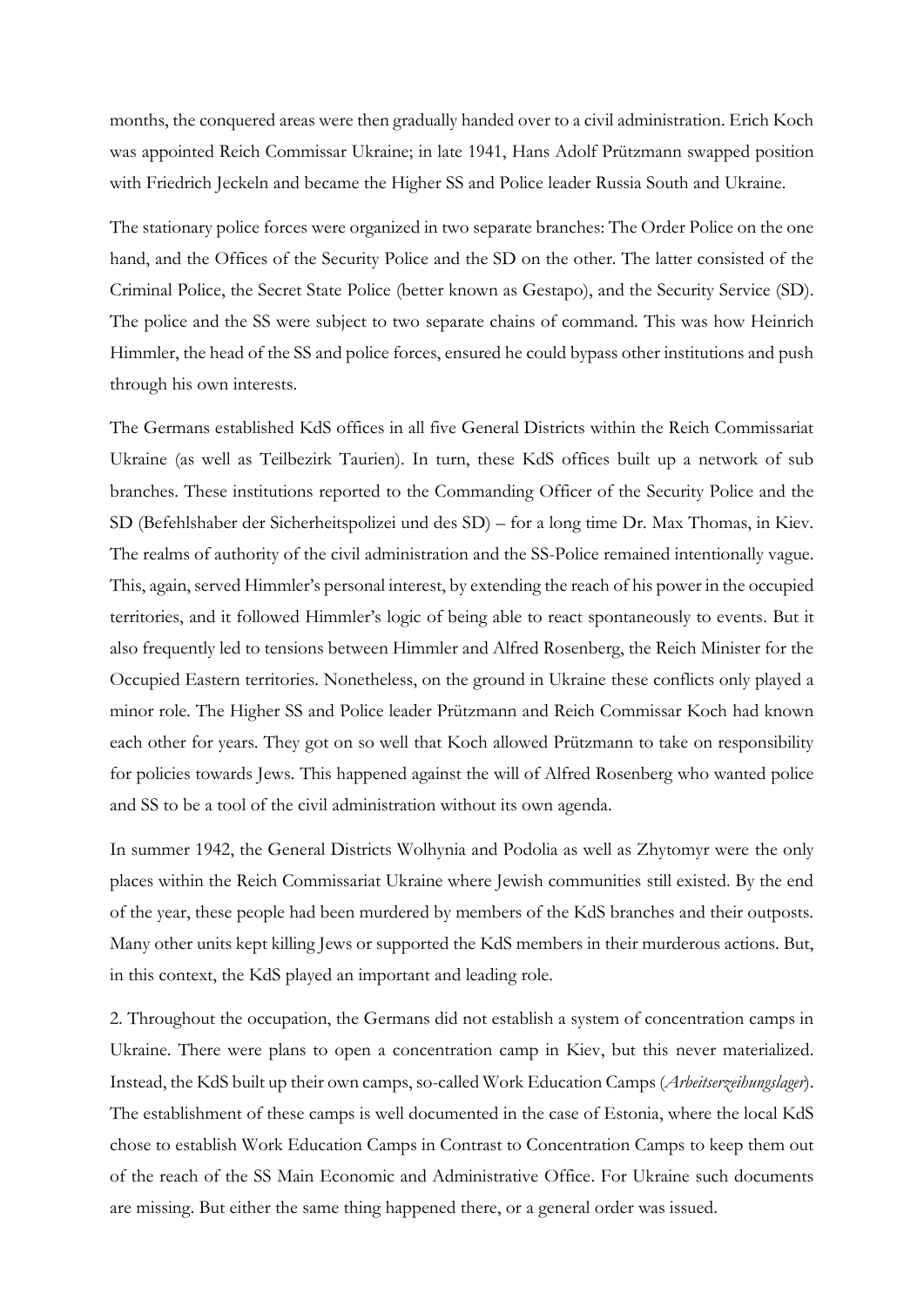months, the conquered areas were then gradually handed over to a civil administration. Erich Koch was appointed Reich Commissar Ukraine; in late 1941, Hans Adolf Prützmann swapped position with Friedrich Jeckeln and became the Higher SS and Police leader Russia South and Ukraine.

The stationary police forces were organized in two separate branches: The Order Police on the one hand, and the Offices of the Security Police and the SD on the other. The latter consisted of the Criminal Police, the Secret State Police (better known as Gestapo), and the Security Service (SD). The police and the SS were subject to two separate chains of command. This was how Heinrich Himmler, the head of the SS and police forces, ensured he could bypass other institutions and push through his own interests.

The Germans established KdS offices in all five General Districts within the Reich Commissariat Ukraine (as well as Teilbezirk Taurien). In turn, these KdS offices built up a network of sub branches. These institutions reported to the Commanding Officer of the Security Police and the SD (Befehlshaber der Sicherheitspolizei und des SD) – for a long time Dr. Max Thomas, in Kiev. The realms of authority of the civil administration and the SS-Police remained intentionally vague. This, again, served Himmler's personal interest, by extending the reach of his power in the occupied territories, and it followed Himmler's logic of being able to react spontaneously to events. But it also frequently led to tensions between Himmler and Alfred Rosenberg, the Reich Minister for the Occupied Eastern territories. Nonetheless, on the ground in Ukraine these conflicts only played a minor role. The Higher SS and Police leader Prützmann and Reich Commissar Koch had known each other for years. They got on so well that Koch allowed Prützmann to take on responsibility for policies towards Jews. This happened against the will of Alfred Rosenberg who wanted police and SS to be a tool of the civil administration without its own agenda.

In summer 1942, the General Districts Wolhynia and Podolia as well as Zhytomyr were the only places within the Reich Commissariat Ukraine where Jewish communities still existed. By the end of the year, these people had been murdered by members of the KdS branches and their outposts. Many other units kept killing Jews or supported the KdS members in their murderous actions. But, in this context, the KdS played an important and leading role.

2. Throughout the occupation, the Germans did not establish a system of concentration camps in Ukraine. There were plans to open a concentration camp in Kiev, but this never materialized. Instead, the KdS built up their own camps, so-called Work Education Camps (*Arbeitserzeihungslager*). The establishment of these camps is well documented in the case of Estonia, where the local KdS chose to establish Work Education Camps in Contrast to Concentration Camps to keep them out of the reach of the SS Main Economic and Administrative Office. For Ukraine such documents are missing. But either the same thing happened there, or a general order was issued.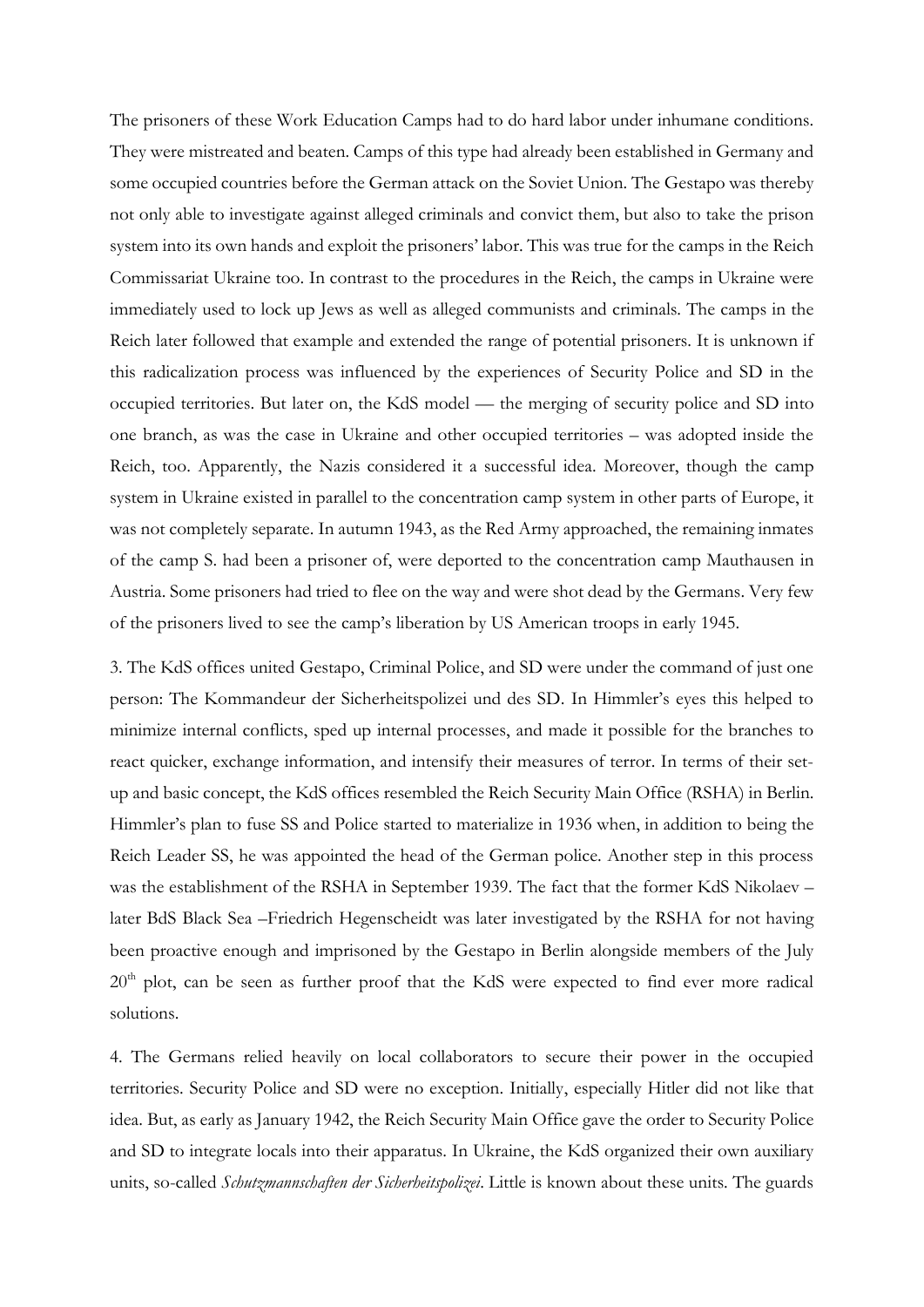The prisoners of these Work Education Camps had to do hard labor under inhumane conditions. They were mistreated and beaten. Camps of this type had already been established in Germany and some occupied countries before the German attack on the Soviet Union. The Gestapo was thereby not only able to investigate against alleged criminals and convict them, but also to take the prison system into its own hands and exploit the prisoners' labor. This was true for the camps in the Reich Commissariat Ukraine too. In contrast to the procedures in the Reich, the camps in Ukraine were immediately used to lock up Jews as well as alleged communists and criminals. The camps in the Reich later followed that example and extended the range of potential prisoners. It is unknown if this radicalization process was influenced by the experiences of Security Police and SD in the occupied territories. But later on, the KdS model –– the merging of security police and SD into one branch, as was the case in Ukraine and other occupied territories – was adopted inside the Reich, too. Apparently, the Nazis considered it a successful idea. Moreover, though the camp system in Ukraine existed in parallel to the concentration camp system in other parts of Europe, it was not completely separate. In autumn 1943, as the Red Army approached, the remaining inmates of the camp S. had been a prisoner of, were deported to the concentration camp Mauthausen in Austria. Some prisoners had tried to flee on the way and were shot dead by the Germans. Very few of the prisoners lived to see the camp's liberation by US American troops in early 1945.

3. The KdS offices united Gestapo, Criminal Police, and SD were under the command of just one person: The Kommandeur der Sicherheitspolizei und des SD. In Himmler's eyes this helped to minimize internal conflicts, sped up internal processes, and made it possible for the branches to react quicker, exchange information, and intensify their measures of terror. In terms of their setup and basic concept, the KdS offices resembled the Reich Security Main Office (RSHA) in Berlin. Himmler's plan to fuse SS and Police started to materialize in 1936 when, in addition to being the Reich Leader SS, he was appointed the head of the German police. Another step in this process was the establishment of the RSHA in September 1939. The fact that the former KdS Nikolaev – later BdS Black Sea –Friedrich Hegenscheidt was later investigated by the RSHA for not having been proactive enough and imprisoned by the Gestapo in Berlin alongside members of the July  $20<sup>th</sup>$  plot, can be seen as further proof that the KdS were expected to find ever more radical solutions.

4. The Germans relied heavily on local collaborators to secure their power in the occupied territories. Security Police and SD were no exception. Initially, especially Hitler did not like that idea. But, as early as January 1942, the Reich Security Main Office gave the order to Security Police and SD to integrate locals into their apparatus. In Ukraine, the KdS organized their own auxiliary units, so-called *Schutzmannschaften der Sicherheitspolizei*. Little is known about these units. The guards